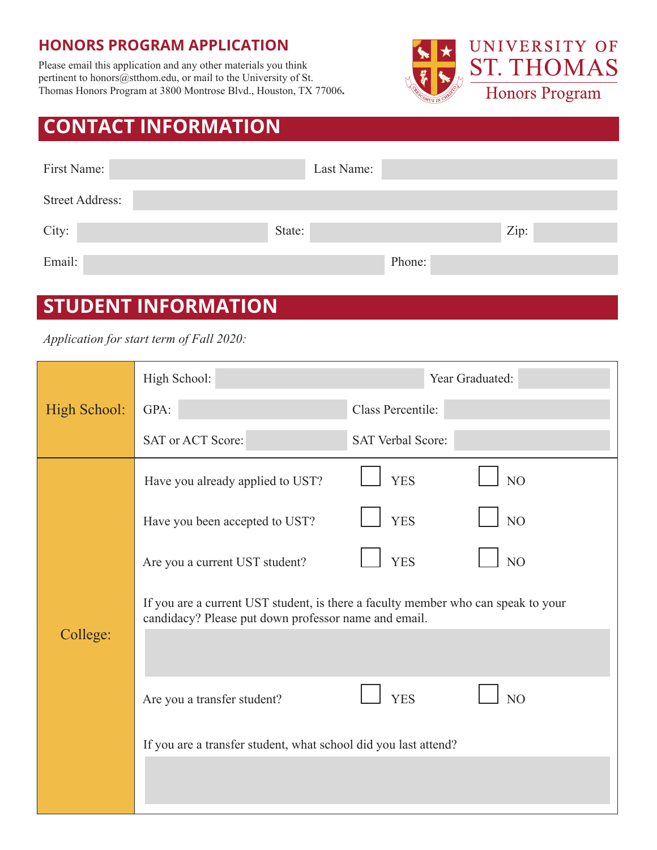## **HONORS PROGRAM APPLICATION**

Please email this application and any other materials you think pertinent to honors@stthom.edu, or mail to the University of St. Thomas Honors Program at 3800 Montrose Blvd., Houston, TX 77006**.**



## **CONTACT INFORMATION**

| First Name:            | Last Name: |        |      |
|------------------------|------------|--------|------|
| <b>Street Address:</b> |            |        |      |
| City:                  | State:     |        | Zip: |
| Email:                 |            | Phone: |      |

## **STUDENT INFORMATION**

*Application for start term of Fall 2020:*

|              | High School:                                                                                                                              | Year Graduated:              |  |  |
|--------------|-------------------------------------------------------------------------------------------------------------------------------------------|------------------------------|--|--|
| High School: | GPA:                                                                                                                                      | Class Percentile:            |  |  |
|              | SAT or ACT Score:                                                                                                                         | <b>SAT Verbal Score:</b>     |  |  |
|              | Have you already applied to UST?                                                                                                          | N <sub>O</sub><br><b>YES</b> |  |  |
|              | Have you been accepted to UST?                                                                                                            | N <sub>O</sub><br><b>YES</b> |  |  |
|              | Are you a current UST student?                                                                                                            | N <sub>O</sub><br><b>YES</b> |  |  |
| College:     | If you are a current UST student, is there a faculty member who can speak to your<br>candidacy? Please put down professor name and email. |                              |  |  |
|              | Are you a transfer student?                                                                                                               | N <sub>O</sub><br><b>YES</b> |  |  |
|              | If you are a transfer student, what school did you last attend?                                                                           |                              |  |  |
|              |                                                                                                                                           |                              |  |  |